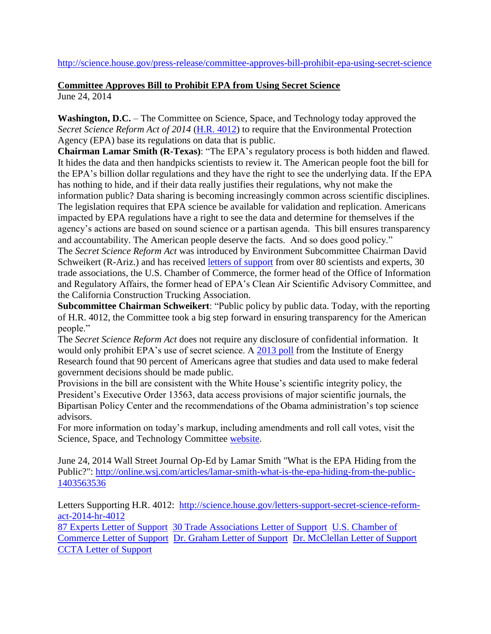## **Committee Approves Bill to Prohibit EPA from Using Secret Science** June 24, 2014

**Washington, D.C.** – The Committee on Science, Space, and Technology today approved the *Secret Science Reform Act of 2014* [\(H.R. 4012\)](http://science.house.gov/sites/republicans.science.house.gov/files/documents/HR%204012_0.pdf) to require that the Environmental Protection Agency (EPA) base its regulations on data that is public.

**Chairman Lamar Smith (R-Texas)**: "The EPA's regulatory process is both hidden and flawed. It hides the data and then handpicks scientists to review it. The American people foot the bill for the EPA's billion dollar regulations and they have the right to see the underlying data. If the EPA has nothing to hide, and if their data really justifies their regulations, why not make the information public? Data sharing is becoming increasingly common across scientific disciplines. The legislation requires that EPA science be available for validation and replication. Americans impacted by EPA regulations have a right to see the data and determine for themselves if the agency's actions are based on sound science or a partisan agenda. This bill ensures transparency and accountability. The American people deserve the facts. And so does good policy."

The *Secret Science Reform Act* was introduced by Environment Subcommittee Chairman David Schweikert (R-Ariz.) and has received [letters of support](http://science.house.gov/letters-support-secret-science-reform-act-2014-hr-4012) from over 80 scientists and experts, 30 trade associations, the U.S. Chamber of Commerce, the former head of the Office of Information and Regulatory Affairs, the former head of EPA's Clean Air Scientific Advisory Committee, and the California Construction Trucking Association.

**Subcommittee Chairman Schweikert**: "Public policy by public data. Today, with the reporting of H.R. 4012, the Committee took a big step forward in ensuring transparency for the American people."

The *Secret Science Reform Act* does not require any disclosure of confidential information. It would only prohibit EPA's use of secret science. A [2013 poll](http://www.instituteforenergyresearch.org/wp-content/uploads/2013/04/IER-Survey-MRW-Strategies-MKM.pdf) from the Institute of Energy Research found that 90 percent of Americans agree that studies and data used to make federal government decisions should be made public.

Provisions in the bill are consistent with the White House's scientific integrity policy, the President's Executive Order 13563, data access provisions of major scientific journals, the Bipartisan Policy Center and the recommendations of the Obama administration's top science advisors.

For more information on today's markup, including amendments and roll call votes, visit the Science, Space, and Technology Committee [website.](http://science.house.gov/markup/full-committee-markup-hr-4012-secret-science-reform-act-2014)

June 24, 2014 Wall Street Journal Op-Ed by Lamar Smith "What is the EPA Hiding from the Public?": [http://online.wsj.com/articles/lamar-smith-what-is-the-epa-hiding-from-the-public-](http://online.wsj.com/articles/lamar-smith-what-is-the-epa-hiding-from-the-public-1403563536)[1403563536](http://online.wsj.com/articles/lamar-smith-what-is-the-epa-hiding-from-the-public-1403563536)

Letters Supporting H.R. 4012: [http://science.house.gov/letters-support-secret-science-reform](http://science.house.gov/letters-support-secret-science-reform-act-2014-hr-4012)[act-2014-hr-4012](http://science.house.gov/letters-support-secret-science-reform-act-2014-hr-4012)

[87 Experts Letter of Support](http://science.house.gov/sites/republicans.science.house.gov/files/documents/Letter%20of%20Support%20for%20HR%204012%20-%2087%20Experts.pdf) [30 Trade Associations Letter of Support](http://science.house.gov/sites/republicans.science.house.gov/files/documents/AAI%20Letter%20of%20Support%20for%20House%20Secret%20Science%20Bill%20HR%204012.pdf) [U.S. Chamber of](http://science.house.gov/sites/republicans.science.house.gov/files/documents/Chamber%20Letter.pdf)  [Commerce Letter of Support](http://science.house.gov/sites/republicans.science.house.gov/files/documents/Chamber%20Letter.pdf) [Dr. Graham Letter of Support](http://science.house.gov/sites/republicans.science.house.gov/files/documents/Dr.%20Graham%20Letter.pdf) [Dr. McClellan Letter of Support](http://science.house.gov/sites/republicans.science.house.gov/files/documents/McClellan%20Letter%20of%20Support.pdf) [CCTA Letter of Support](http://science.house.gov/sites/republicans.science.house.gov/files/documents/CCTA%20Letter.pdf)